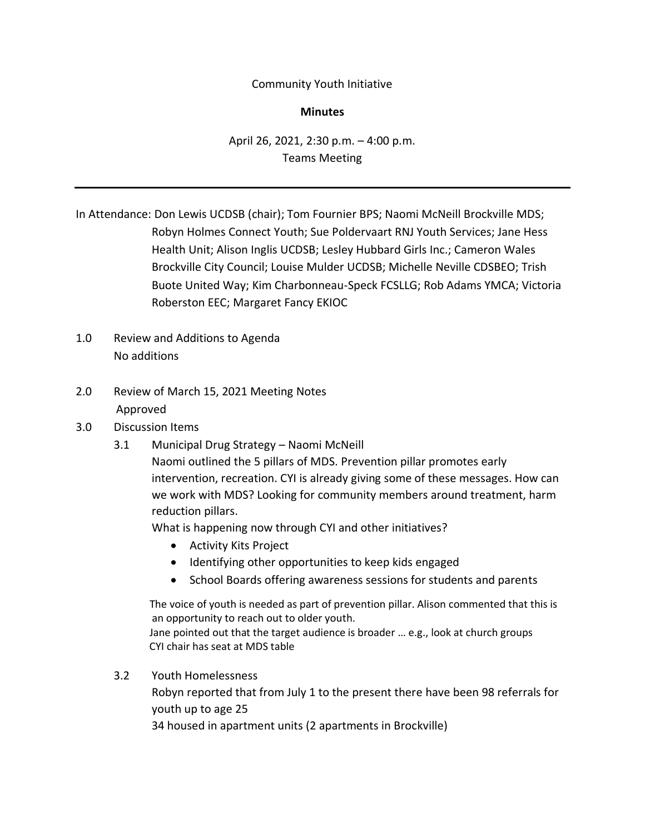### Community Youth Initiative

### **Minutes**

# April 26, 2021, 2:30 p.m. – 4:00 p.m. Teams Meeting

In Attendance: Don Lewis UCDSB (chair); Tom Fournier BPS; Naomi McNeill Brockville MDS; Robyn Holmes Connect Youth; Sue Poldervaart RNJ Youth Services; Jane Hess Health Unit; Alison Inglis UCDSB; Lesley Hubbard Girls Inc.; Cameron Wales Brockville City Council; Louise Mulder UCDSB; Michelle Neville CDSBEO; Trish Buote United Way; Kim Charbonneau-Speck FCSLLG; Rob Adams YMCA; Victoria Roberston EEC; Margaret Fancy EKIOC

- 1.0 Review and Additions to Agenda No additions
- 2.0 Review of March 15, 2021 Meeting Notes Approved
- 3.0 Discussion Items
	- 3.1 Municipal Drug Strategy Naomi McNeill

Naomi outlined the 5 pillars of MDS. Prevention pillar promotes early intervention, recreation. CYI is already giving some of these messages. How can we work with MDS? Looking for community members around treatment, harm reduction pillars.

What is happening now through CYI and other initiatives?

- Activity Kits Project
- Identifying other opportunities to keep kids engaged
- School Boards offering awareness sessions for students and parents

 The voice of youth is needed as part of prevention pillar. Alison commented that this is an opportunity to reach out to older youth. Jane pointed out that the target audience is broader … e.g., look at church groups CYI chair has seat at MDS table

3.2 Youth Homelessness Robyn reported that from July 1 to the present there have been 98 referrals for youth up to age 25 34 housed in apartment units (2 apartments in Brockville)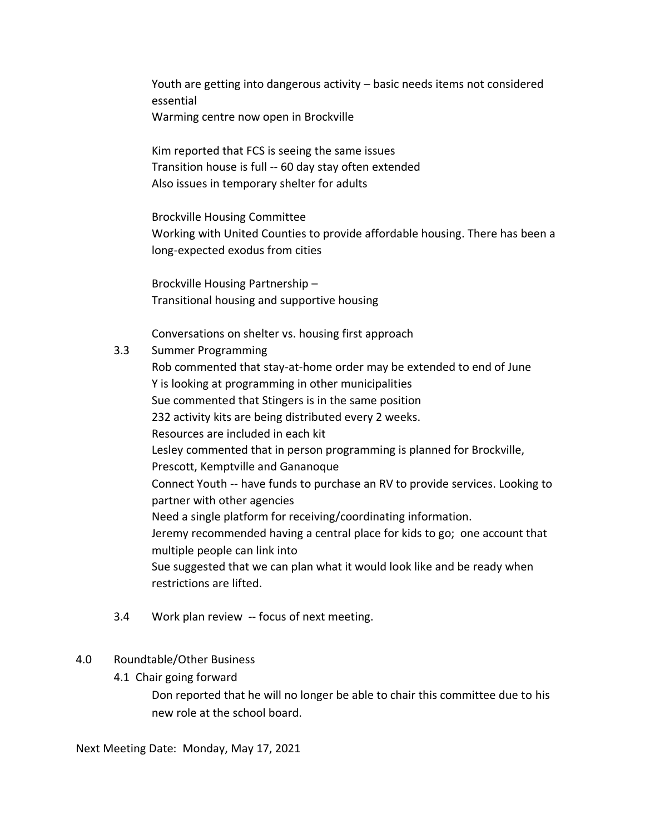Youth are getting into dangerous activity – basic needs items not considered essential Warming centre now open in Brockville

Kim reported that FCS is seeing the same issues Transition house is full -- 60 day stay often extended Also issues in temporary shelter for adults

Brockville Housing Committee Working with United Counties to provide affordable housing. There has been a long-expected exodus from cities

Brockville Housing Partnership – Transitional housing and supportive housing

Conversations on shelter vs. housing first approach

## 3.3 Summer Programming

Rob commented that stay-at-home order may be extended to end of June Y is looking at programming in other municipalities Sue commented that Stingers is in the same position 232 activity kits are being distributed every 2 weeks. Resources are included in each kit Lesley commented that in person programming is planned for Brockville, Prescott, Kemptville and Gananoque Connect Youth -- have funds to purchase an RV to provide services. Looking to partner with other agencies Need a single platform for receiving/coordinating information. Jeremy recommended having a central place for kids to go; one account that multiple people can link into Sue suggested that we can plan what it would look like and be ready when restrictions are lifted.

3.4 Work plan review -- focus of next meeting.

### 4.0 Roundtable/Other Business

4.1 Chair going forward

Don reported that he will no longer be able to chair this committee due to his new role at the school board.

Next Meeting Date: Monday, May 17, 2021